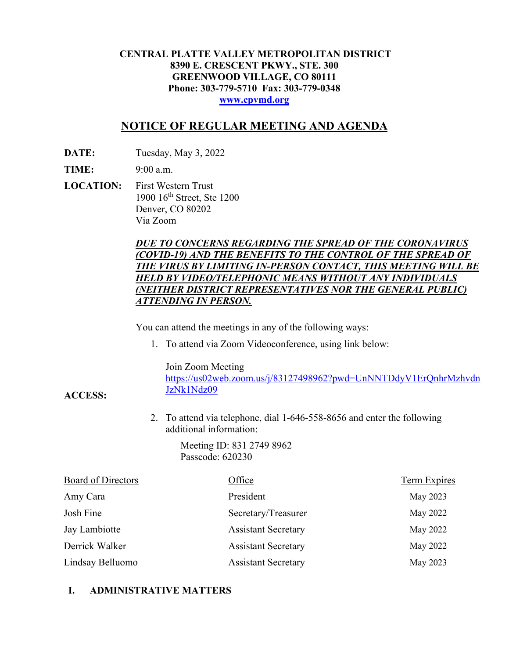### **CENTRAL PLATTE VALLEY METROPOLITAN DISTRICT 8390 E. CRESCENT PKWY., STE. 300 GREENWOOD VILLAGE, CO 80111 Phone: 303-779-5710 Fax: 303-779-0348 [www.cpvmd.org](http://www.cpvmd.org/)**

# **NOTICE OF REGULAR MEETING AND AGENDA**

**DATE:** Tuesday, May 3, 2022

**TIME:** 9:00 a.m.

**ACCESS:**

**LOCATION:** First Western Trust 1900 16<sup>th</sup> Street, Ste 1200 Denver, CO 80202 Via Zoom

## *DUE TO CONCERNS REGARDING THE SPREAD OF THE CORONAVIRUS (COVID-19) AND THE BENEFITS TO THE CONTROL OF THE SPREAD OF THE VIRUS BY LIMITING IN-PERSON CONTACT, THIS MEETING WILL BE HELD BY VIDEO/TELEPHONIC MEANS WITHOUT ANY INDIVIDUALS (NEITHER DISTRICT REPRESENTATIVES NOR THE GENERAL PUBLIC) ATTENDING IN PERSON.*

You can attend the meetings in any of the following ways:

1. To attend via Zoom Videoconference, using link below:

Join Zoom Meeting

[https://us02web.zoom.us/j/83127498962?pwd=UnNNTDdyV1ErQnhrMzhvdn](https://nam11.safelinks.protection.outlook.com/?url=https%3A%2F%2Fus02web.zoom.us%2Fj%2F83127498962%3Fpwd%3DUnNNTDdyV1ErQnhrMzhvdnJzNk1Ndz09&data=04%7C01%7CRachel.alles%40claconnect.com%7C515b8a3a5bb149f0483608d9bfe9225c%7C4aaa468e93ba4ee3ab9f6a247aa3ade0%7C0%7C0%7C637751830440162010%7CUnknown%7CTWFpbGZsb3d8eyJWIjoiMC4wLjAwMDAiLCJQIjoiV2luMzIiLCJBTiI6Ik1haWwiLCJXVCI6Mn0%3D%7C1000&sdata=52L7UuwlopVA0rXq4v79MPjtXkMJTQPWRs1BvoYRINs%3D&reserved=0) [JzNk1Ndz09](https://nam11.safelinks.protection.outlook.com/?url=https%3A%2F%2Fus02web.zoom.us%2Fj%2F83127498962%3Fpwd%3DUnNNTDdyV1ErQnhrMzhvdnJzNk1Ndz09&data=04%7C01%7CRachel.alles%40claconnect.com%7C515b8a3a5bb149f0483608d9bfe9225c%7C4aaa468e93ba4ee3ab9f6a247aa3ade0%7C0%7C0%7C637751830440162010%7CUnknown%7CTWFpbGZsb3d8eyJWIjoiMC4wLjAwMDAiLCJQIjoiV2luMzIiLCJBTiI6Ik1haWwiLCJXVCI6Mn0%3D%7C1000&sdata=52L7UuwlopVA0rXq4v79MPjtXkMJTQPWRs1BvoYRINs%3D&reserved=0)

2. To attend via telephone, dial 1-646-558-8656 and enter the following additional information:

> Meeting ID: 831 2749 8962 Passcode: 620230

| <b>Board of Directors</b> | Office                     | <b>Term Expires</b> |
|---------------------------|----------------------------|---------------------|
| Amy Cara                  | President                  | May 2023            |
| Josh Fine                 | Secretary/Treasurer        | May 2022            |
| Jay Lambiotte             | <b>Assistant Secretary</b> | May 2022            |
| Derrick Walker            | <b>Assistant Secretary</b> | May 2022            |
| Lindsay Belluomo          | <b>Assistant Secretary</b> | May 2023            |

# **I. ADMINISTRATIVE MATTERS**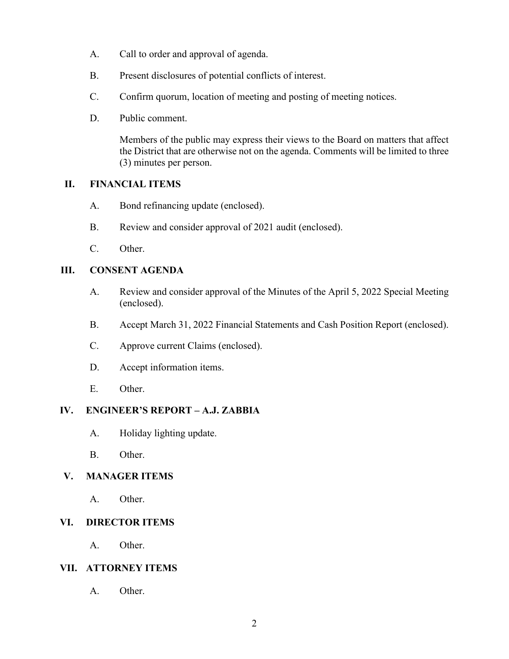- A. Call to order and approval of agenda.
- B. Present disclosures of potential conflicts of interest.
- C. Confirm quorum, location of meeting and posting of meeting notices.
- D. Public comment.

Members of the public may express their views to the Board on matters that affect the District that are otherwise not on the agenda. Comments will be limited to three (3) minutes per person.

## **II. FINANCIAL ITEMS**

- A. Bond refinancing update (enclosed).
- B. Review and consider approval of 2021 audit (enclosed).
- C. Other.

## **III. CONSENT AGENDA**

- A. Review and consider approval of the Minutes of the April 5, 2022 Special Meeting (enclosed).
- B. Accept March 31, 2022 Financial Statements and Cash Position Report (enclosed).
- C. Approve current Claims (enclosed).
- D. Accept information items.
- E. Other.

#### **IV. ENGINEER'S REPORT – A.J. ZABBIA**

- A. Holiday lighting update.
- B. Other.

# **V. MANAGER ITEMS**

A. Other.

# **VI. DIRECTOR ITEMS**

A. Other.

## **VII. ATTORNEY ITEMS**

A. Other.